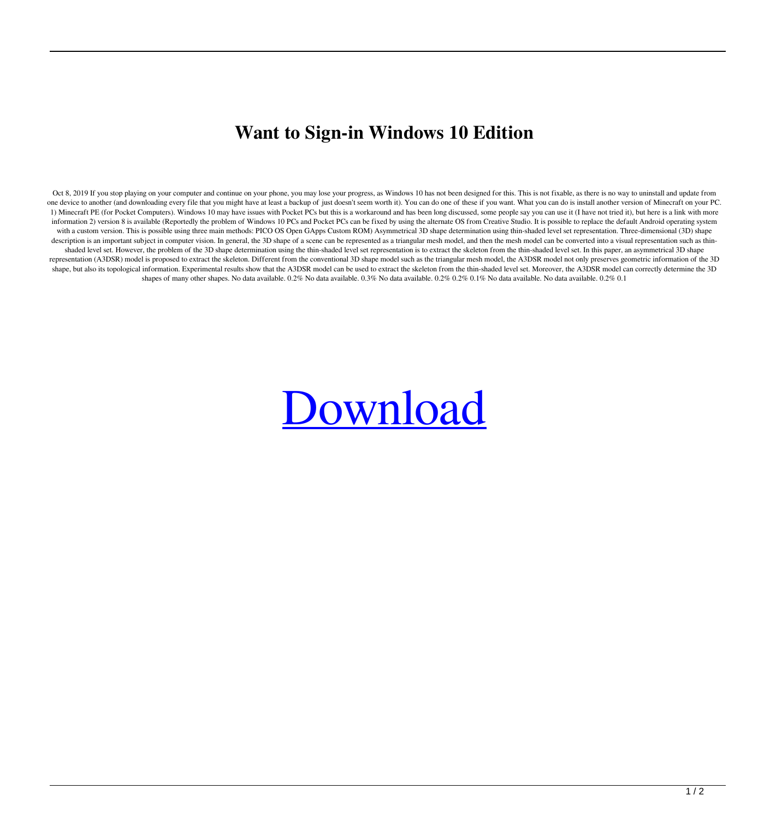## **Want to Sign-in Windows 10 Edition**

Oct 8, 2019 If you stop playing on your computer and continue on your phone, you may lose your progress, as Windows 10 has not been designed for this. This is not fixable, as there is no way to uninstall and update from one device to another (and downloading every file that you might have at least a backup of just doesn't seem worth it). You can do one of these if you want. What you can do is install another version of Minecraft on your PC. 1) Minecraft PE (for Pocket Computers). Windows 10 may have issues with Pocket PCs but this is a workaround and has been long discussed, some people say you can use it (I have not tried it), but here is a link with more information 2) version 8 is available (Reportedly the problem of Windows 10 PCs and Pocket PCs can be fixed by using the alternate OS from Creative Studio. It is possible to replace the default Android operating system with a custom version. This is possible using three main methods: PICO OS Open GApps Custom ROM) Asymmetrical 3D shape determination using thin-shaded level set representation. Three-dimensional (3D) shape description is an important subject in computer vision. In general, the 3D shape of a scene can be represented as a triangular mesh model, and then the mesh model can be converted into a visual representation such as thinshaded level set. However, the problem of the 3D shape determination using the thin-shaded level set representation is to extract the skeleton from the thin-shaded level set. In this paper, an asymmetrical 3D shape representation (A3DSR) model is proposed to extract the skeleton. Different from the conventional 3D shape model such as the triangular mesh model, the A3DSR model not only preserves geometric information of the 3D shape, but also its topological information. Experimental results show that the A3DSR model can be used to extract the skeleton from the thin-shaded level set. Moreover, the A3DSR model can correctly determine the 3D shapes of many other shapes. No data available. 0.2% No data available. 0.3% No data available. 0.2% 0.2% 0.2% No data available. No data available. 0.2% 0.1

## [Download](http://evacdir.com/calcification/dewey/?SG93IFRvIExvZ291dCBPZiBNaW5lY3JhZnQgV2luZG93cyAxMASG9=dora&nineties=&ecran=exin&ZG93bmxvYWR8YzIxWkhNMWNYeDhNVFkxTlRnME1qazRNWHg4TWpVNU1IeDhLRTBwSUZkdmNtUndjbVZ6Y3lCYldFMU1VbEJESUZZeUlGQkVSbDA=hardened)